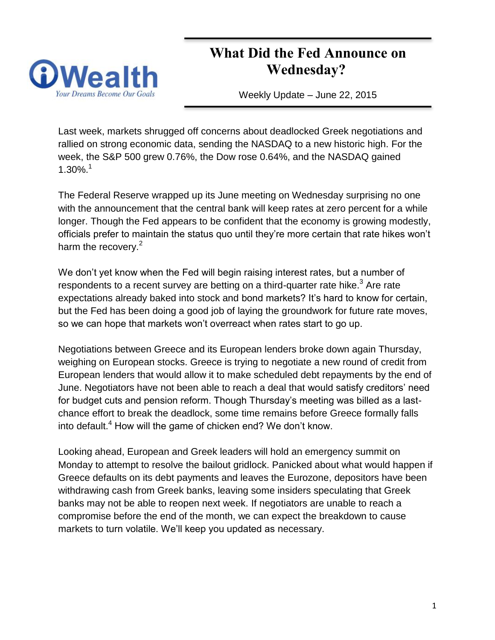# **What Did the Fed Announce on Wednesday?**



Weekly Update – June 22, 2015

Last week, markets shrugged off concerns about deadlocked Greek negotiations and rallied on strong economic data, sending the NASDAQ to a new historic high. For the week, the S&P 500 grew 0.76%, the Dow rose 0.64%, and the NASDAQ gained 1.30%.<sup>1</sup>

The Federal Reserve wrapped up its June meeting on Wednesday surprising no one with the announcement that the central bank will keep rates at zero percent for a while longer. Though the Fed appears to be confident that the economy is growing modestly, officials prefer to maintain the status quo until they're more certain that rate hikes won't harm the recovery. $2$ 

We don't yet know when the Fed will begin raising interest rates, but a number of respondents to a recent survey are betting on a third-quarter rate hike.<sup>3</sup> Are rate expectations already baked into stock and bond markets? It's hard to know for certain, but the Fed has been doing a good job of laying the groundwork for future rate moves, so we can hope that markets won't overreact when rates start to go up.

Negotiations between Greece and its European lenders broke down again Thursday, weighing on European stocks. Greece is trying to negotiate a new round of credit from European lenders that would allow it to make scheduled debt repayments by the end of June. Negotiators have not been able to reach a deal that would satisfy creditors' need for budget cuts and pension reform. Though Thursday's meeting was billed as a lastchance effort to break the deadlock, some time remains before Greece formally falls into default.<sup>4</sup> How will the game of chicken end? We don't know.

Looking ahead, European and Greek leaders will hold an emergency summit on Monday to attempt to resolve the bailout gridlock. Panicked about what would happen if Greece defaults on its debt payments and leaves the Eurozone, depositors have been withdrawing cash from Greek banks, leaving some insiders speculating that Greek banks may not be able to reopen next week. If negotiators are unable to reach a compromise before the end of the month, we can expect the breakdown to cause markets to turn volatile. We'll keep you updated as necessary.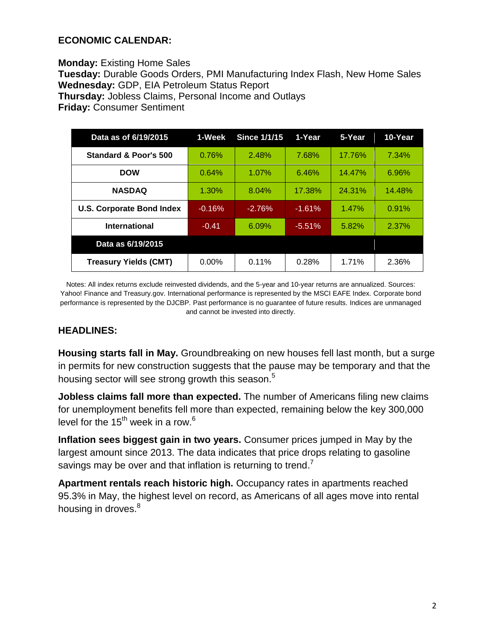## **ECONOMIC CALENDAR:**

**Monday:** Existing Home Sales **Tuesday:** Durable Goods Orders, PMI Manufacturing Index Flash, New Home Sales **Wednesday:** GDP, EIA Petroleum Status Report **Thursday:** Jobless Claims, Personal Income and Outlays **Friday:** Consumer Sentiment

| Data as of 6/19/2015             | 1-Week   | <b>Since 1/1/15</b> | 1-Year   | 5-Year | 10-Year |
|----------------------------------|----------|---------------------|----------|--------|---------|
| Standard & Poor's 500            | 0.76%    | 2.48%               | 7.68%    | 17.76% | 7.34%   |
| <b>DOW</b>                       | 0.64%    | 1.07%               | 6.46%    | 14.47% | 6.96%   |
| <b>NASDAQ</b>                    | 1.30%    | 8.04%               | 17.38%   | 24.31% | 14.48%  |
| <b>U.S. Corporate Bond Index</b> | $-0.16%$ | $-2.76%$            | $-1.61%$ | 1.47%  | 0.91%   |
| <b>International</b>             | $-0.41$  | 6.09%               | $-5.51%$ | 5.82%  | 2.37%   |
| Data as 6/19/2015                |          |                     |          |        |         |
| <b>Treasury Yields (CMT)</b>     | $0.00\%$ | 0.11%               | 0.28%    | 1.71%  | 2.36%   |

Notes: All index returns exclude reinvested dividends, and the 5-year and 10-year returns are annualized. Sources: Yahoo! Finance and [Treasury.gov.](http://treasury.gov/) International performance is represented by the MSCI EAFE Index. Corporate bond performance is represented by the DJCBP. Past performance is no guarantee of future results. Indices are unmanaged and cannot be invested into directly.

## **HEADLINES:**

**Housing starts fall in May.** Groundbreaking on new houses fell last month, but a surge in permits for new construction suggests that the pause may be temporary and that the housing sector will see strong growth this season.<sup>5</sup>

**Jobless claims fall more than expected.** The number of Americans filing new claims for unemployment benefits fell more than expected, remaining below the key 300,000 level for the  $15<sup>th</sup>$  week in a row.<sup>6</sup>

**Inflation sees biggest gain in two years.** Consumer prices jumped in May by the largest amount since 2013. The data indicates that price drops relating to gasoline savings may be over and that inflation is returning to trend.<sup>7</sup>

**Apartment rentals reach historic high.** Occupancy rates in apartments reached 95.3% in May, the highest level on record, as Americans of all ages move into rental housing in droves.<sup>8</sup>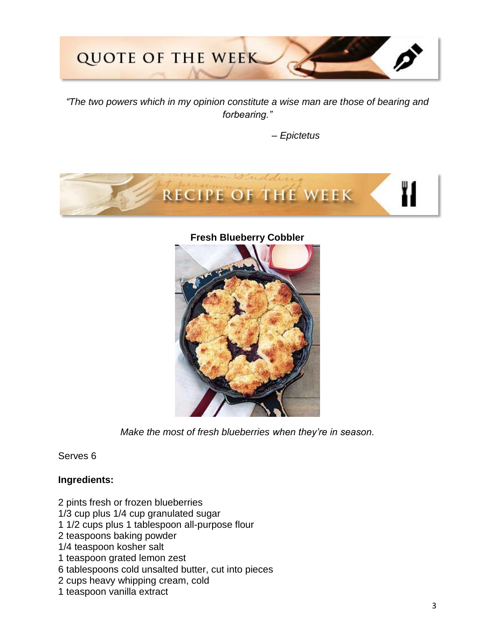

*"The two powers which in my opinion constitute a wise man are those of bearing and forbearing."*

 *– Epictetus*



#### **Fresh Blueberry Cobbler**



*Make the most of fresh blueberries when they're in season.*

Serves 6

## **Ingredients:**

- 2 pints fresh or frozen blueberries
- 1/3 cup plus 1/4 cup granulated sugar
- 1 1/2 cups plus 1 tablespoon all-purpose flour
- 2 teaspoons baking powder
- 1/4 teaspoon kosher salt
- 1 teaspoon grated lemon zest
- 6 tablespoons cold unsalted butter, cut into pieces
- 2 cups heavy whipping cream, cold
- 1 teaspoon vanilla extract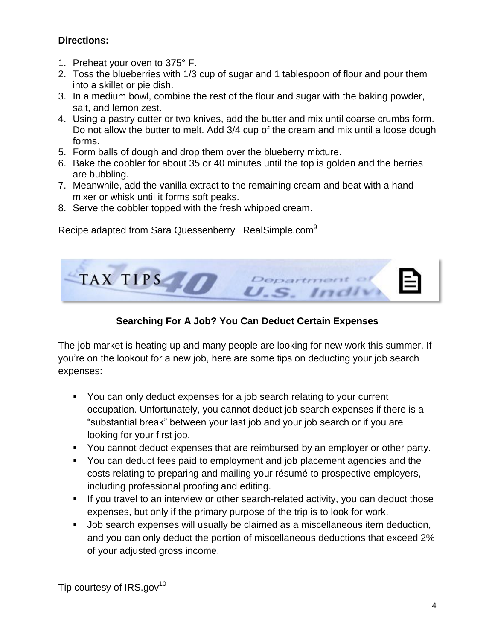## **Directions:**

- 1. Preheat your oven to 375° F.
- 2. Toss the blueberries with 1/3 cup of sugar and 1 tablespoon of flour and pour them into a skillet or pie dish.
- 3. In a medium bowl, combine the rest of the flour and sugar with the baking powder, salt, and lemon zest.
- 4. Using a pastry cutter or two knives, add the butter and mix until coarse crumbs form. Do not allow the butter to melt. Add 3/4 cup of the cream and mix until a loose dough forms.
- 5. Form balls of dough and drop them over the blueberry mixture.
- 6. Bake the cobbler for about 35 or 40 minutes until the top is golden and the berries are bubbling.
- 7. Meanwhile, add the vanilla extract to the remaining cream and beat with a hand mixer or whisk until it forms soft peaks.
- 8. Serve the cobbler topped with the fresh whipped cream.

Recipe adapted from Sara Quessenberry | RealSimple.com<sup>9</sup>



# **Searching For A Job? You Can Deduct Certain Expenses**

The job market is heating up and many people are looking for new work this summer. If you're on the lookout for a new job, here are some tips on deducting your job search expenses:

- You can only deduct expenses for a job search relating to your current occupation. Unfortunately, you cannot deduct job search expenses if there is a "substantial break" between your last job and your job search or if you are looking for your first job.
- You cannot deduct expenses that are reimbursed by an employer or other party.
- You can deduct fees paid to employment and job placement agencies and the costs relating to preparing and mailing your résumé to prospective employers, including professional proofing and editing.
- If you travel to an interview or other search-related activity, you can deduct those expenses, but only if the primary purpose of the trip is to look for work.
- **Job search expenses will usually be claimed as a miscellaneous item deduction,** and you can only deduct the portion of miscellaneous deductions that exceed 2% of your adjusted gross income.

Tip courtesy of IRS.gov<sup>10</sup>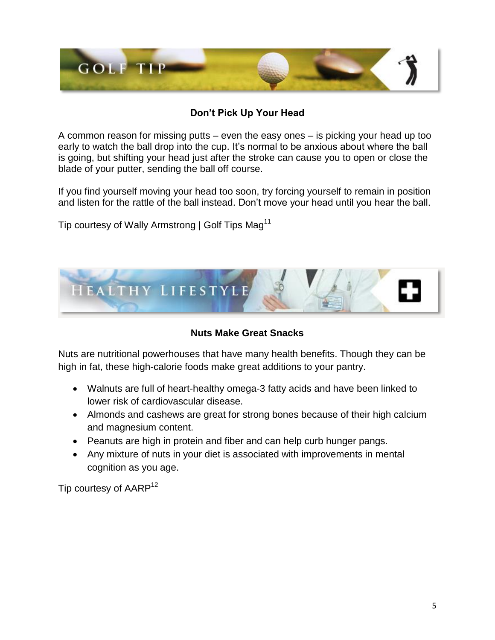

# **Don't Pick Up Your Head**

A common reason for missing putts – even the easy ones – is picking your head up too early to watch the ball drop into the cup. It's normal to be anxious about where the ball is going, but shifting your head just after the stroke can cause you to open or close the blade of your putter, sending the ball off course.

If you find yourself moving your head too soon, try forcing yourself to remain in position and listen for the rattle of the ball instead. Don't move your head until you hear the ball.

Tip courtesy of Wally Armstrong | Golf Tips Mag<sup>11</sup>



**Nuts Make Great Snacks**

Nuts are nutritional powerhouses that have many health benefits. Though they can be high in fat, these high-calorie foods make great additions to your pantry.

- Walnuts are full of heart-healthy omega-3 fatty acids and have been linked to lower risk of cardiovascular disease.
- Almonds and cashews are great for strong bones because of their high calcium and magnesium content.
- Peanuts are high in protein and fiber and can help curb hunger pangs.
- Any mixture of nuts in your diet is associated with improvements in mental cognition as you age.

Tip courtesy of AARP<sup>12</sup>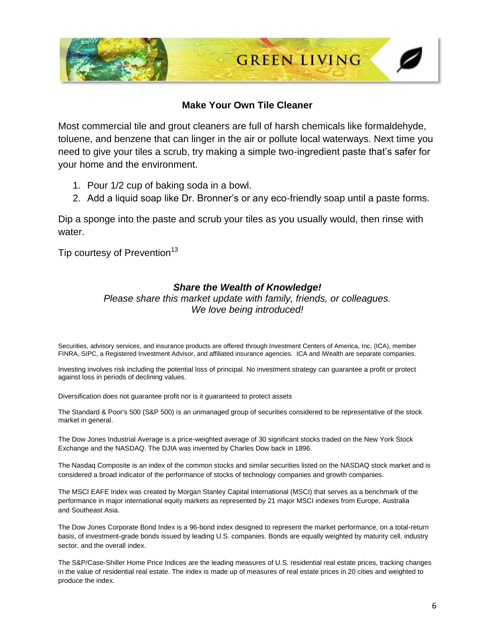

#### **Make Your Own Tile Cleaner**

Most commercial tile and grout cleaners are full of harsh chemicals like formaldehyde, toluene, and benzene that can linger in the air or pollute local waterways. Next time you need to give your tiles a scrub, try making a simple two-ingredient paste that's safer for your home and the environment.

- 1. Pour 1/2 cup of baking soda in a bowl.
- 2. Add a liquid soap like Dr. Bronner's or any eco-friendly soap until a paste forms.

Dip a sponge into the paste and scrub your tiles as you usually would, then rinse with water.

Tip courtesy of Prevention<sup>13</sup>

#### *Share the Wealth of Knowledge!*

*Please share this market update with family, friends, or colleagues. We love being introduced!*

Securities, advisory services, and insurance products are offered through Investment Centers of America, Inc. (ICA), member FINRA, SIPC, a Registered Investment Advisor, and affiliated insurance agencies. ICA and iWealth are separate companies.

Investing involves risk including the potential loss of principal. No investment strategy can guarantee a profit or protect against loss in periods of declining values.

Diversification does not guarantee profit nor is it guaranteed to protect assets

The Standard & Poor's 500 (S&P 500) is an unmanaged group of securities considered to be representative of the stock market in general.

The Dow Jones Industrial Average is a price-weighted average of 30 significant stocks traded on the New York Stock Exchange and the NASDAQ. The DJIA was invented by Charles Dow back in 1896.

The Nasdaq Composite is an index of the common stocks and similar securities listed on the NASDAQ stock market and is considered a broad indicator of the performance of stocks of technology companies and growth companies.

The MSCI EAFE Index was created by Morgan Stanley Capital International (MSCI) that serves as a benchmark of the performance in major international equity markets as represented by 21 major MSCI indexes from Europe, Australia and Southeast Asia.

The Dow Jones Corporate Bond Index is a 96-bond index designed to represent the market performance, on a total-return basis, of investment-grade bonds issued by leading U.S. companies. Bonds are equally weighted by maturity cell, industry sector, and the overall index.

The S&P/Case-Shiller Home Price Indices are the leading measures of U.S. residential real estate prices, tracking changes in the value of residential real estate. The index is made up of measures of real estate prices in 20 cities and weighted to produce the index.